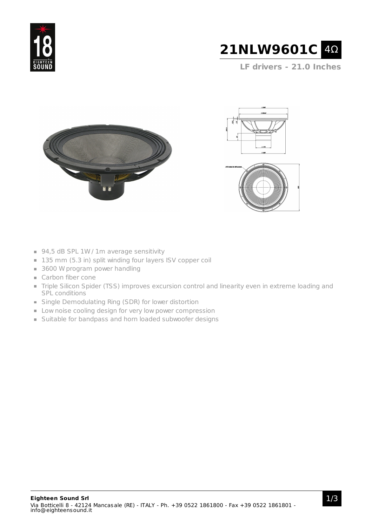



**LF drivers - 21.0 Inches**







- 94,5 dB SPL 1W / 1m average sensitivity
- 135 mm (5.3 in) split winding four layers ISV copper coil
- 3600 W program power handling
- Carbon fiber cone
- Triple Silicon Spider (TSS) improves excursion control and linearity even in extreme loading and SPL conditions
- Single Demodulating Ring (SDR) for lower distortion
- **Low noise cooling design for very low power compression**
- Suitable for bandpass and horn loaded subwoofer designs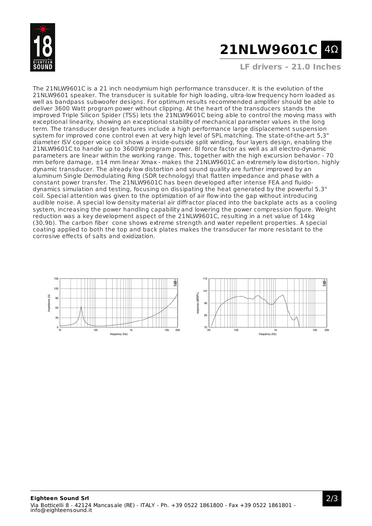

# **21NLW9601C** 4Ω

**LF drivers - 21.0 Inches**

The 21NLW9601C is a 21 inch neodymium high performance transducer. It is the evolution of the 21NLW9601 speaker. The transducer is suitable for high loading, ultra-low frequency horn loaded as well as bandpass subwoofer designs. For optimum results recommended amplifier should be able to deliver 3600 Watt program power without clipping. At the heart of the transducers stands the improved Triple Silicon Spider (TSS) lets the 21NLW9601C being able to control the moving mass with exceptional linearity, showing an exceptional stability of mechanical parameter values in the long term. The transducer design features include a high performance large displacement suspension system for improved cone control even at very high level of SPL matching. The state-of-the-art 5,3" diameter ISV copper voice coil shows a inside-outside split winding, four layers design, enabling the 21NLW9601C to handle up to 3600W program power. Bl force factor as well as all electro-dynamic parameters are linear within the working range. This, together with the high excursion behavior - 70 mm before damage, ±14 mm linear Xmax - makes the 21NLW9601C an extremely low distortion, highly dynamic transducer. The already low distortion and sound quality are further improved by an aluminum Single Demodulating Ring (SDR technology) that flatten impedance and phase with a constant power transfer. The 21NLW9601C has been developed after intense FEA and fluidodynamics simulation and testing, focusing on dissipating the heat generated by the powerful 5.3" coil. Special attention was given to the optimization of air flow into the gap without introducing audible noise. A special low density material air diffractor placed into the backplate acts as a cooling system, increasing the power handling capability and lowering the power compression figure. Weight reduction was a key development aspect of the 21NLW9601C, resulting in a net value of 14kg (30,9b). The carbon fiber cone shows extreme strength and water repellent properties. A special coating applied to both the top and back plates makes the transducer far more resistant to the corrosive effects of salts and oxidization.